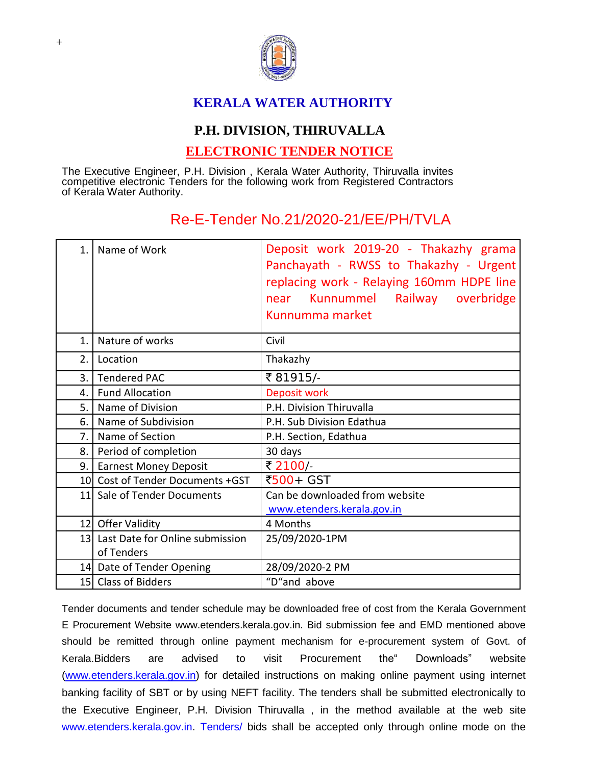

## **KERALA WATER AUTHORITY**

## **P.H. DIVISION, THIRUVALLA**

## **ELECTRONIC TENDER NOTICE**

The Executive Engineer, P.H. Division , Kerala Water Authority, Thiruvalla invites competitive electronic Tenders for the following work from Registered Contractors of Kerala Water Authority.

## Re-E-Tender No.21/2020-21/EE/PH/TVLA

| 1 <sub>1</sub> | Name of Work                                     | Deposit work 2019-20 - Thakazhy grama<br>Panchayath - RWSS to Thakazhy - Urgent<br>replacing work - Relaying 160mm HDPE line<br>near Kunnummel Railway overbridge<br>Kunnumma market |
|----------------|--------------------------------------------------|--------------------------------------------------------------------------------------------------------------------------------------------------------------------------------------|
| $\mathbf{1}$ . | Nature of works                                  | Civil                                                                                                                                                                                |
| 2.             | Location                                         | Thakazhy                                                                                                                                                                             |
| 3.1            | <b>Tendered PAC</b>                              | ₹81915/-                                                                                                                                                                             |
| 4.             | <b>Fund Allocation</b>                           | Deposit work                                                                                                                                                                         |
| 5.1            | Name of Division                                 | P.H. Division Thiruvalla                                                                                                                                                             |
| 6.             | Name of Subdivision                              | P.H. Sub Division Edathua                                                                                                                                                            |
| 7.1            | Name of Section                                  | P.H. Section, Edathua                                                                                                                                                                |
| 8.             | Period of completion                             | 30 days                                                                                                                                                                              |
| 9.1            | <b>Earnest Money Deposit</b>                     | ₹ 2100/                                                                                                                                                                              |
|                | 10 Cost of Tender Documents +GST                 | ₹500+ GST                                                                                                                                                                            |
|                | 11 Sale of Tender Documents                      | Can be downloaded from website<br>www.etenders.kerala.gov.in                                                                                                                         |
|                | 12 Offer Validity                                | 4 Months                                                                                                                                                                             |
|                | 13 Last Date for Online submission<br>of Tenders | 25/09/2020-1PM                                                                                                                                                                       |
|                | 14 Date of Tender Opening                        | 28/09/2020-2 PM                                                                                                                                                                      |
|                | 15 Class of Bidders                              | "D"and above                                                                                                                                                                         |

Tender documents and tender schedule may be downloaded free of cost from the Kerala Government E Procurement Website www.etenders.kerala.gov.in. Bid submission fee and EMD mentioned above should be remitted through online payment mechanism for e-procurement system of Govt. of Kerala.Bidders are advised to visit Procurement the" Downloads" website [\(www.etenders.kerala.gov.in\)](http://www.etenders.kerala.gov.in/) for detailed instructions on making online payment using internet banking facility of SBT or by using NEFT facility. The tenders shall be submitted electronically to the Executive Engineer, P.H. Division Thiruvalla , in the method available at the web sit[e](file:///C:/Users/murali/AppData/Local/Microsoft/Windows/Temporary%20Internet%20Files/Content.IE5/PW0I1R2D/www.etenders.kerala.gov.in) [www.etenders.kerala.gov.in.](file:///C:/Users/murali/AppData/Local/Microsoft/Windows/Temporary%20Internet%20Files/Content.IE5/PW0I1R2D/www.etenders.kerala.gov.in) Tenders/ bids shall be accepted only through online mode on the